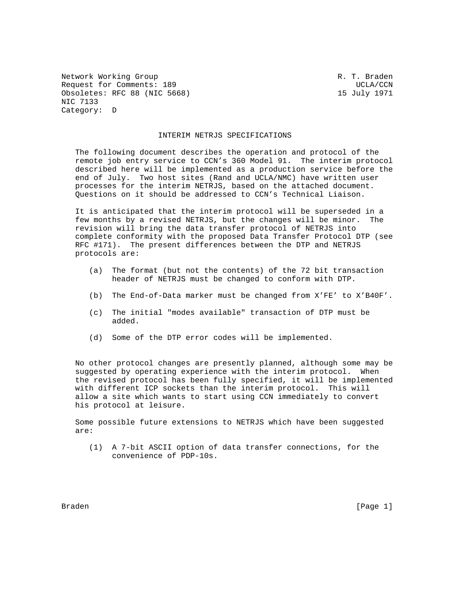Network Working Group and the control of the R. T. Braden Request for Comments: 189 UCLA/CCN Obsoletes: RFC 88 (NIC 5668) 15 July 1971 NIC 7133 Category: D

### INTERIM NETRJS SPECIFICATIONS

 The following document describes the operation and protocol of the remote job entry service to CCN's 360 Model 91. The interim protocol described here will be implemented as a production service before the end of July. Two host sites (Rand and UCLA/NMC) have written user processes for the interim NETRJS, based on the attached document. Questions on it should be addressed to CCN's Technical Liaison.

 It is anticipated that the interim protocol will be superseded in a few months by a revised NETRJS, but the changes will be minor. The revision will bring the data transfer protocol of NETRJS into complete conformity with the proposed Data Transfer Protocol DTP (see RFC #171). The present differences between the DTP and NETRJS protocols are:

- (a) The format (but not the contents) of the 72 bit transaction header of NETRJS must be changed to conform with DTP.
- (b) The End-of-Data marker must be changed from X'FE' to X'B40F'.
- (c) The initial "modes available" transaction of DTP must be added.
- (d) Some of the DTP error codes will be implemented.

 No other protocol changes are presently planned, although some may be suggested by operating experience with the interim protocol. When the revised protocol has been fully specified, it will be implemented with different ICP sockets than the interim protocol. This will allow a site which wants to start using CCN immediately to convert his protocol at leisure.

 Some possible future extensions to NETRJS which have been suggested are:

 (1) A 7-bit ASCII option of data transfer connections, for the convenience of PDP-10s.

Braden [Page 1]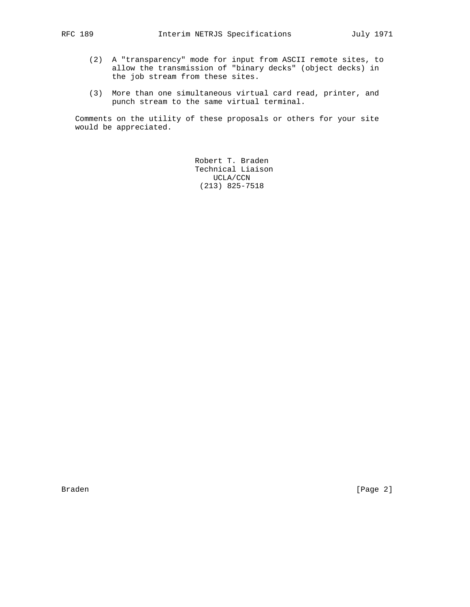- (2) A "transparency" mode for input from ASCII remote sites, to allow the transmission of "binary decks" (object decks) in the job stream from these sites.
- (3) More than one simultaneous virtual card read, printer, and punch stream to the same virtual terminal.

 Comments on the utility of these proposals or others for your site would be appreciated.

> Robert T. Braden Technical Liaison UCLA/CCN (213) 825-7518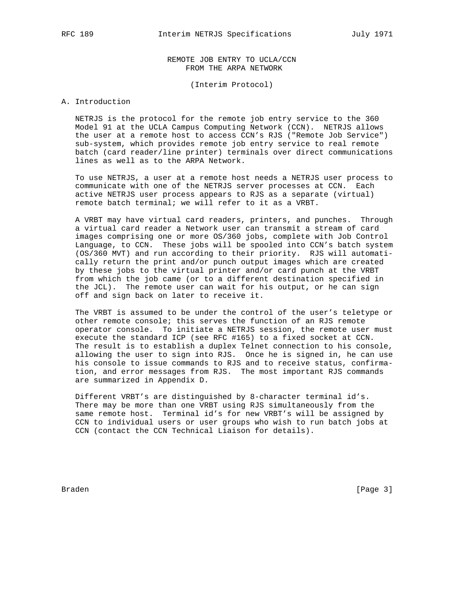REMOTE JOB ENTRY TO UCLA/CCN FROM THE ARPA NETWORK

(Interim Protocol)

#### A. Introduction

 NETRJS is the protocol for the remote job entry service to the 360 Model 91 at the UCLA Campus Computing Network (CCN). NETRJS allows the user at a remote host to access CCN's RJS ("Remote Job Service") sub-system, which provides remote job entry service to real remote batch (card reader/line printer) terminals over direct communications lines as well as to the ARPA Network.

 To use NETRJS, a user at a remote host needs a NETRJS user process to communicate with one of the NETRJS server processes at CCN. Each active NETRJS user process appears to RJS as a separate (virtual) remote batch terminal; we will refer to it as a VRBT.

 A VRBT may have virtual card readers, printers, and punches. Through a virtual card reader a Network user can transmit a stream of card images comprising one or more OS/360 jobs, complete with Job Control Language, to CCN. These jobs will be spooled into CCN's batch system (OS/360 MVT) and run according to their priority. RJS will automati cally return the print and/or punch output images which are created by these jobs to the virtual printer and/or card punch at the VRBT from which the job came (or to a different destination specified in the JCL). The remote user can wait for his output, or he can sign off and sign back on later to receive it.

 The VRBT is assumed to be under the control of the user's teletype or other remote console; this serves the function of an RJS remote operator console. To initiate a NETRJS session, the remote user must execute the standard ICP (see RFC #165) to a fixed socket at CCN. The result is to establish a duplex Telnet connection to his console, allowing the user to sign into RJS. Once he is signed in, he can use his console to issue commands to RJS and to receive status, confirma tion, and error messages from RJS. The most important RJS commands are summarized in Appendix D.

 Different VRBT's are distinguished by 8-character terminal id's. There may be more than one VRBT using RJS simultaneously from the same remote host. Terminal id's for new VRBT's will be assigned by CCN to individual users or user groups who wish to run batch jobs at CCN (contact the CCN Technical Liaison for details).

Braden [Page 3]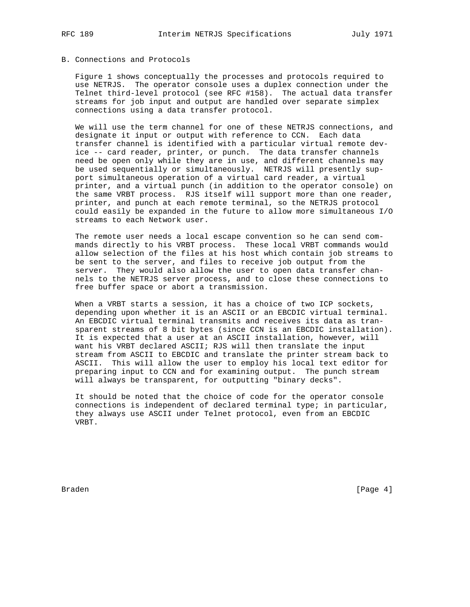# B. Connections and Protocols

 Figure 1 shows conceptually the processes and protocols required to use NETRJS. The operator console uses a duplex connection under the Telnet third-level protocol (see RFC #158). The actual data transfer streams for job input and output are handled over separate simplex connections using a data transfer protocol.

 We will use the term channel for one of these NETRJS connections, and designate it input or output with reference to CCN. Each data transfer channel is identified with a particular virtual remote dev ice -- card reader, printer, or punch. The data transfer channels need be open only while they are in use, and different channels may be used sequentially or simultaneously. NETRJS will presently sup port simultaneous operation of a virtual card reader, a virtual printer, and a virtual punch (in addition to the operator console) on the same VRBT process. RJS itself will support more than one reader, printer, and punch at each remote terminal, so the NETRJS protocol could easily be expanded in the future to allow more simultaneous I/O streams to each Network user.

 The remote user needs a local escape convention so he can send com mands directly to his VRBT process. These local VRBT commands would allow selection of the files at his host which contain job streams to be sent to the server, and files to receive job output from the server. They would also allow the user to open data transfer chan nels to the NETRJS server process, and to close these connections to free buffer space or abort a transmission.

 When a VRBT starts a session, it has a choice of two ICP sockets, depending upon whether it is an ASCII or an EBCDIC virtual terminal. An EBCDIC virtual terminal transmits and receives its data as tran sparent streams of 8 bit bytes (since CCN is an EBCDIC installation). It is expected that a user at an ASCII installation, however, will want his VRBT declared ASCII; RJS will then translate the input stream from ASCII to EBCDIC and translate the printer stream back to ASCII. This will allow the user to employ his local text editor for preparing input to CCN and for examining output. The punch stream will always be transparent, for outputting "binary decks".

 It should be noted that the choice of code for the operator console connections is independent of declared terminal type; in particular, they always use ASCII under Telnet protocol, even from an EBCDIC VRBT.

Braden **Example 19** (Page 4)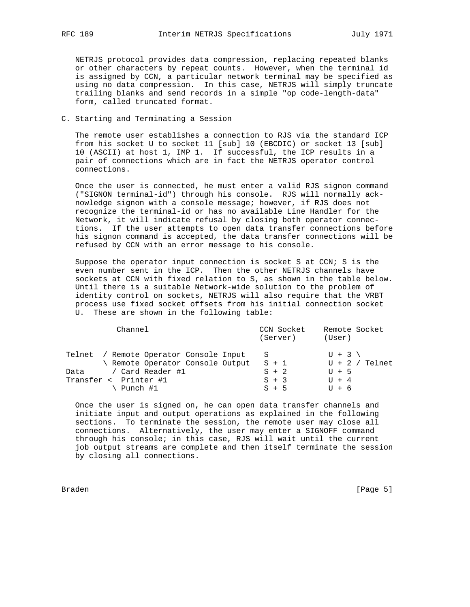NETRJS protocol provides data compression, replacing repeated blanks or other characters by repeat counts. However, when the terminal id is assigned by CCN, a particular network terminal may be specified as using no data compression. In this case, NETRJS will simply truncate trailing blanks and send records in a simple "op code-length-data" form, called truncated format.

C. Starting and Terminating a Session

 The remote user establishes a connection to RJS via the standard ICP from his socket U to socket 11 [sub] 10 (EBCDIC) or socket 13 [sub] 10 (ASCII) at host 1, IMP 1. If successful, the ICP results in a pair of connections which are in fact the NETRJS operator control connections.

 Once the user is connected, he must enter a valid RJS signon command ("SIGNON terminal-id") through his console. RJS will normally ack nowledge signon with a console message; however, if RJS does not recognize the terminal-id or has no available Line Handler for the Network, it will indicate refusal by closing both operator connec tions. If the user attempts to open data transfer connections before his signon command is accepted, the data transfer connections will be refused by CCN with an error message to his console.

 Suppose the operator input connection is socket S at CCN; S is the even number sent in the ICP. Then the other NETRJS channels have sockets at CCN with fixed relation to S, as shown in the table below. Until there is a suitable Network-wide solution to the problem of identity control on sockets, NETRJS will also require that the VRBT process use fixed socket offsets from his initial connection socket U. These are shown in the following table:

| Channel                                                                    | CCN Socket<br>(Server) | Remote Socket<br>(User)     |
|----------------------------------------------------------------------------|------------------------|-----------------------------|
| Telnet / Remote Operator Console Input<br>\ Remote Operator Console Output | S<br>$S + 1$           | $U + 3$<br>$U + 2 /$ Telnet |
| Data / Card Reader #1                                                      | $S + 2$                | $U + 5$                     |
| Transfer < Printer #1                                                      | $S + 3$                | $U + 4$                     |
| \ Punch #1                                                                 | $S + 5$                | $U + 6$                     |

 Once the user is signed on, he can open data transfer channels and initiate input and output operations as explained in the following sections. To terminate the session, the remote user may close all connections. Alternatively, the user may enter a SIGNOFF command through his console; in this case, RJS will wait until the current job output streams are complete and then itself terminate the session by closing all connections.

Braden [Page 5]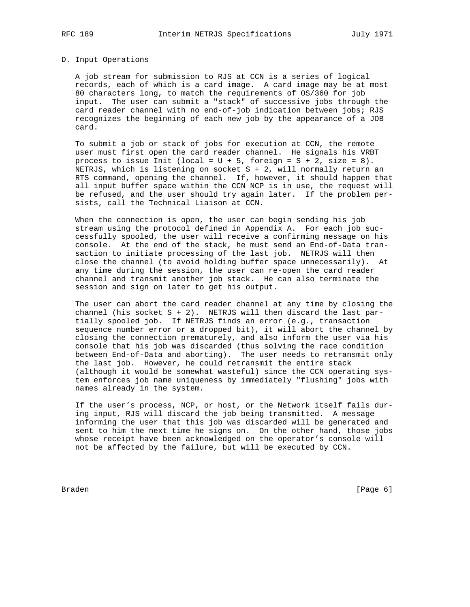#### D. Input Operations

 A job stream for submission to RJS at CCN is a series of logical records, each of which is a card image. A card image may be at most 80 characters long, to match the requirements of OS/360 for job input. The user can submit a "stack" of successive jobs through the card reader channel with no end-of-job indication between jobs; RJS recognizes the beginning of each new job by the appearance of a JOB card.

 To submit a job or stack of jobs for execution at CCN, the remote user must first open the card reader channel. He signals his VRBT process to issue Init (local =  $U + 5$ , foreign =  $S + 2$ , size = 8). NETRJS, which is listening on socket S + 2, will normally return an RTS command, opening the channel. If, however, it should happen that all input buffer space within the CCN NCP is in use, the request will be refused, and the user should try again later. If the problem per sists, call the Technical Liaison at CCN.

 When the connection is open, the user can begin sending his job stream using the protocol defined in Appendix A. For each job suc cessfully spooled, the user will receive a confirming message on his console. At the end of the stack, he must send an End-of-Data tran saction to initiate processing of the last job. NETRJS will then close the channel (to avoid holding buffer space unnecessarily). At any time during the session, the user can re-open the card reader channel and transmit another job stack. He can also terminate the session and sign on later to get his output.

 The user can abort the card reader channel at any time by closing the channel (his socket  $S + 2$ ). NETRJS will then discard the last par tially spooled job. If NETRJS finds an error (e.g., transaction sequence number error or a dropped bit), it will abort the channel by closing the connection prematurely, and also inform the user via his console that his job was discarded (thus solving the race condition between End-of-Data and aborting). The user needs to retransmit only the last job. However, he could retransmit the entire stack (although it would be somewhat wasteful) since the CCN operating sys tem enforces job name uniqueness by immediately "flushing" jobs with names already in the system.

 If the user's process, NCP, or host, or the Network itself fails dur ing input, RJS will discard the job being transmitted. A message informing the user that this job was discarded will be generated and sent to him the next time he signs on. On the other hand, those jobs whose receipt have been acknowledged on the operator's console will not be affected by the failure, but will be executed by CCN.

Braden [Page 6]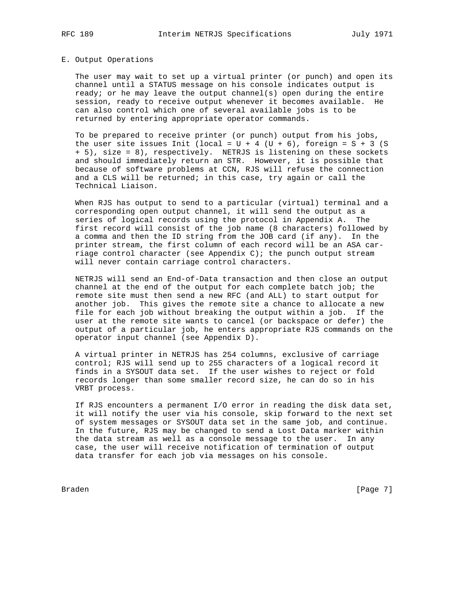#### E. Output Operations

 The user may wait to set up a virtual printer (or punch) and open its channel until a STATUS message on his console indicates output is ready; or he may leave the output channel(s) open during the entire session, ready to receive output whenever it becomes available. He can also control which one of several available jobs is to be returned by entering appropriate operator commands.

 To be prepared to receive printer (or punch) output from his jobs, the user site issues Init (local =  $U + 4$  ( $U + 6$ ), foreign =  $S + 3$  (S) + 5), size = 8), respectively. NETRJS is listening on these sockets and should immediately return an STR. However, it is possible that because of software problems at CCN, RJS will refuse the connection and a CLS will be returned; in this case, try again or call the Technical Liaison.

When RJS has output to send to a particular (virtual) terminal and a corresponding open output channel, it will send the output as a series of logical records using the protocol in Appendix A. The first record will consist of the job name (8 characters) followed by a comma and then the ID string from the JOB card (if any). In the printer stream, the first column of each record will be an ASA car riage control character (see Appendix C); the punch output stream will never contain carriage control characters.

 NETRJS will send an End-of-Data transaction and then close an output channel at the end of the output for each complete batch job; the remote site must then send a new RFC (and ALL) to start output for another job. This gives the remote site a chance to allocate a new file for each job without breaking the output within a job. If the user at the remote site wants to cancel (or backspace or defer) the output of a particular job, he enters appropriate RJS commands on the operator input channel (see Appendix D).

 A virtual printer in NETRJS has 254 columns, exclusive of carriage control; RJS will send up to 255 characters of a logical record it finds in a SYSOUT data set. If the user wishes to reject or fold records longer than some smaller record size, he can do so in his VRBT process.

 If RJS encounters a permanent I/O error in reading the disk data set, it will notify the user via his console, skip forward to the next set of system messages or SYSOUT data set in the same job, and continue. In the future, RJS may be changed to send a Lost Data marker within the data stream as well as a console message to the user. In any case, the user will receive notification of termination of output data transfer for each job via messages on his console.

Braden **Example 19** (Page 7)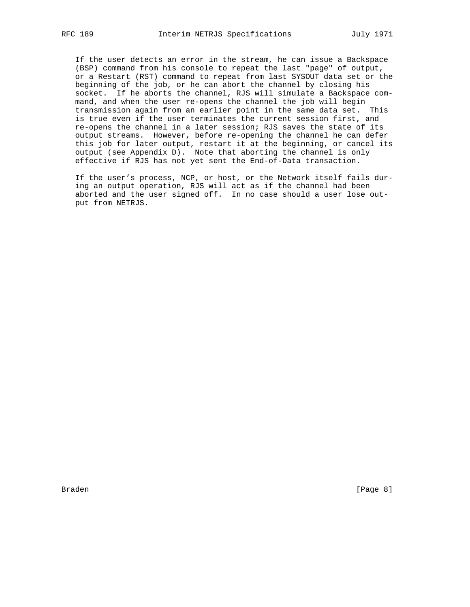If the user detects an error in the stream, he can issue a Backspace (BSP) command from his console to repeat the last "page" of output, or a Restart (RST) command to repeat from last SYSOUT data set or the beginning of the job, or he can abort the channel by closing his socket. If he aborts the channel, RJS will simulate a Backspace com mand, and when the user re-opens the channel the job will begin transmission again from an earlier point in the same data set. This is true even if the user terminates the current session first, and re-opens the channel in a later session; RJS saves the state of its output streams. However, before re-opening the channel he can defer this job for later output, restart it at the beginning, or cancel its output (see Appendix D). Note that aborting the channel is only effective if RJS has not yet sent the End-of-Data transaction.

 If the user's process, NCP, or host, or the Network itself fails dur ing an output operation, RJS will act as if the channel had been aborted and the user signed off. In no case should a user lose out put from NETRJS.

Braden **Example 19** (Page 8)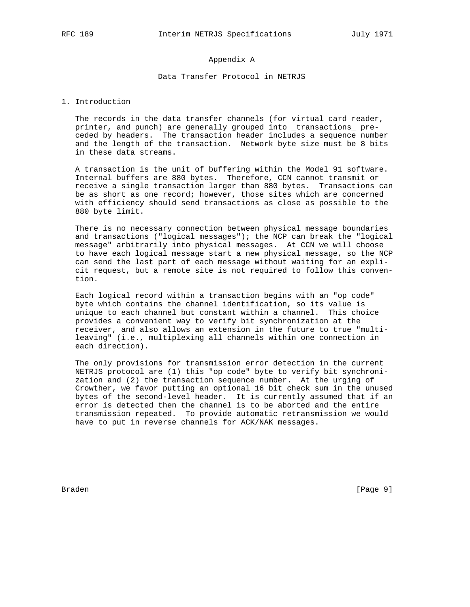# Appendix A

## Data Transfer Protocol in NETRJS

#### 1. Introduction

 The records in the data transfer channels (for virtual card reader, printer, and punch) are generally grouped into \_transactions\_ pre ceded by headers. The transaction header includes a sequence number and the length of the transaction. Network byte size must be 8 bits in these data streams.

 A transaction is the unit of buffering within the Model 91 software. Internal buffers are 880 bytes. Therefore, CCN cannot transmit or receive a single transaction larger than 880 bytes. Transactions can be as short as one record; however, those sites which are concerned with efficiency should send transactions as close as possible to the 880 byte limit.

 There is no necessary connection between physical message boundaries and transactions ("logical messages"); the NCP can break the "logical message" arbitrarily into physical messages. At CCN we will choose to have each logical message start a new physical message, so the NCP can send the last part of each message without waiting for an expli cit request, but a remote site is not required to follow this conven tion.

 Each logical record within a transaction begins with an "op code" byte which contains the channel identification, so its value is unique to each channel but constant within a channel. This choice provides a convenient way to verify bit synchronization at the receiver, and also allows an extension in the future to true "multi leaving" (i.e., multiplexing all channels within one connection in each direction).

 The only provisions for transmission error detection in the current NETRJS protocol are (1) this "op code" byte to verify bit synchroni zation and (2) the transaction sequence number. At the urging of Crowther, we favor putting an optional 16 bit check sum in the unused bytes of the second-level header. It is currently assumed that if an error is detected then the channel is to be aborted and the entire transmission repeated. To provide automatic retransmission we would have to put in reverse channels for ACK/NAK messages.

Braden [Page 9]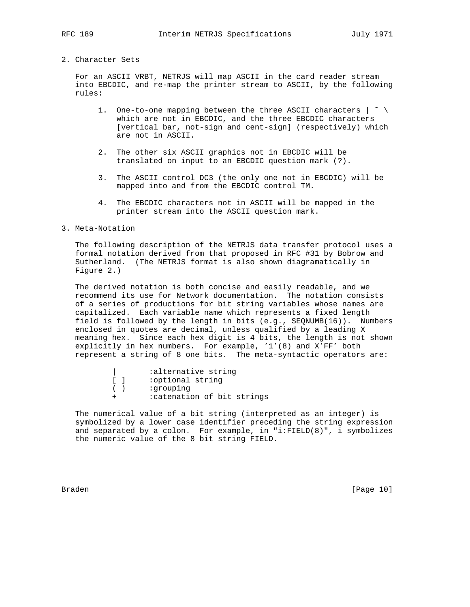#### 2. Character Sets

 For an ASCII VRBT, NETRJS will map ASCII in the card reader stream into EBCDIC, and re-map the printer stream to ASCII, by the following rules:

- 1. One-to-one mapping between the three ASCII characters | ˜ \ which are not in EBCDIC, and the three EBCDIC characters [vertical bar, not-sign and cent-sign] (respectively) which are not in ASCII.
- 2. The other six ASCII graphics not in EBCDIC will be translated on input to an EBCDIC question mark (?).
- 3. The ASCII control DC3 (the only one not in EBCDIC) will be mapped into and from the EBCDIC control TM.
- 4. The EBCDIC characters not in ASCII will be mapped in the printer stream into the ASCII question mark.

#### 3. Meta-Notation

 The following description of the NETRJS data transfer protocol uses a formal notation derived from that proposed in RFC #31 by Bobrow and Sutherland. (The NETRJS format is also shown diagramatically in Figure 2.)

 The derived notation is both concise and easily readable, and we recommend its use for Network documentation. The notation consists of a series of productions for bit string variables whose names are capitalized. Each variable name which represents a fixed length field is followed by the length in bits (e.g., SEQNUMB(16)). Numbers enclosed in quotes are decimal, unless qualified by a leading X meaning hex. Since each hex digit is 4 bits, the length is not shown explicitly in hex numbers. For example, '1'(8) and X'FF' both represent a string of 8 one bits. The meta-syntactic operators are:

| alternative string:         |
|-----------------------------|
| :optional string            |
| :grouping                   |
| : catenation of bit strings |

 The numerical value of a bit string (interpreted as an integer) is symbolized by a lower case identifier preceding the string expression and separated by a colon. For example, in "i:FIELD(8)", i symbolizes the numeric value of the 8 bit string FIELD.

Braden [Page 10]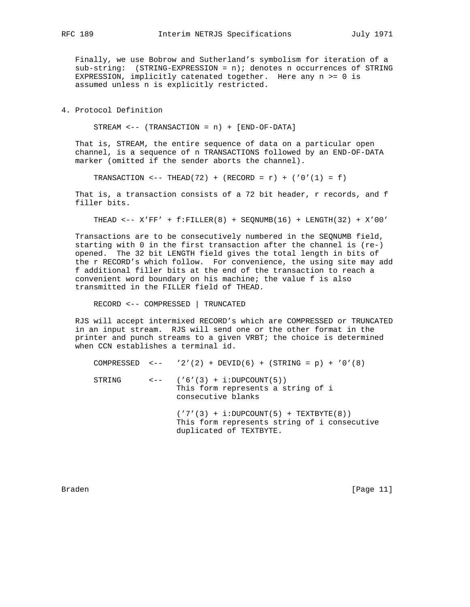Finally, we use Bobrow and Sutherland's symbolism for iteration of a sub-string: (STRING-EXPRESSION = n); denotes n occurrences of STRING EXPRESSION, implicitly catenated together. Here any  $n \ge 0$  is assumed unless n is explicitly restricted.

### 4. Protocol Definition

STREAM <-- (TRANSACTION = n) + [END-OF-DATA]

 That is, STREAM, the entire sequence of data on a particular open channel, is a sequence of n TRANSACTIONS followed by an END-OF-DATA marker (omitted if the sender aborts the channel).

TRANSACTION <-- THEAD(72) + (RECORD =  $r$ ) + ('0'(1) = f)

That is, a transaction consists of a 72 bit header, r records, and f filler bits.

THEAD <-- X'FF' + f:FILLER(8) + SEQNUMB(16) + LENGTH(32) + X'00'

 Transactions are to be consecutively numbered in the SEQNUMB field, starting with 0 in the first transaction after the channel is (re-) opened. The 32 bit LENGTH field gives the total length in bits of the r RECORD's which follow. For convenience, the using site may add f additional filler bits at the end of the transaction to reach a convenient word boundary on his machine; the value f is also transmitted in the FILLER field of THEAD.

RECORD <-- COMPRESSED | TRUNCATED

 RJS will accept intermixed RECORD's which are COMPRESSED or TRUNCATED in an input stream. RJS will send one or the other format in the printer and punch streams to a given VRBT; the choice is determined when CCN establishes a terminal id.

|        | COMPRESSED <-- '2'(2) + DEVID(6) + (STRING = p) + '0'(8)                                                            |
|--------|---------------------------------------------------------------------------------------------------------------------|
| STRING | $\left( '6'(3) + i:DUPCOUNT(5) \right)$<br>This form represents a string of i<br>consecutive blanks                 |
|        | $('7'(3) + i:DUPCOUNT(5) + TEXTBYTE(8))$<br>This form represents string of i consecutive<br>duplicated of TEXTBYTE. |

Braden [Page 11]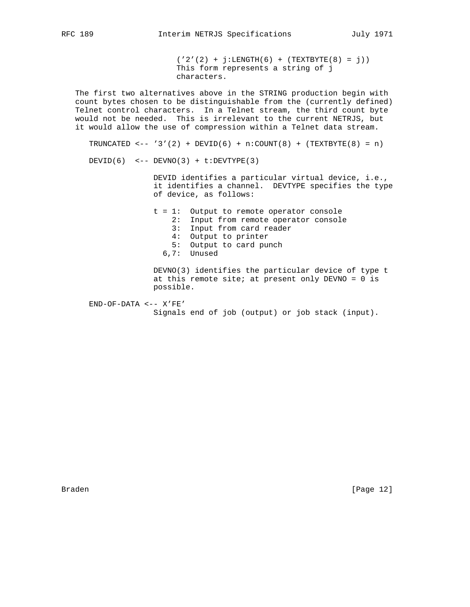$('2'(2) + j:LENGTH(6) + (TEXTBYTE(8) = j))$  This form represents a string of j characters. The first two alternatives above in the STRING production begin with count bytes chosen to be distinguishable from the (currently defined) Telnet control characters. In a Telnet stream, the third count byte would not be needed. This is irrelevant to the current NETRJS, but it would allow the use of compression within a Telnet data stream. TRUNCATED  $\leftarrow$  '3'(2) + DEVID(6) + n:COUNT(8) + (TEXTBYTE(8) = n) DEVID(6) <-- DEVNO(3) +  $t:$ DEVTYPE(3) DEVID identifies a particular virtual device, i.e., it identifies a channel. DEVTYPE specifies the type of device, as follows: t = 1: Output to remote operator console 2: Input from remote operator console 3: Input from card reader

- 4: Output to printer
- 5: Output to card punch
- 6,7: Unused

 DEVNO(3) identifies the particular device of type t at this remote site; at present only  $DEVNO = 0$  is possible.

 END-OF-DATA <-- X'FE' Signals end of job (output) or job stack (input).

Braden [Page 12]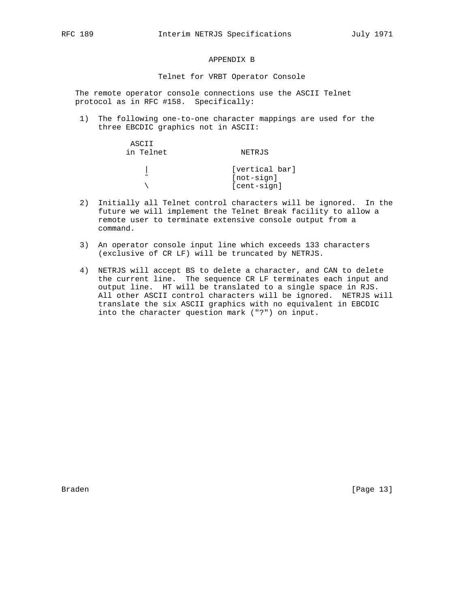# APPENDIX B

#### Telnet for VRBT Operator Console

 The remote operator console connections use the ASCII Telnet protocol as in RFC #158. Specifically:

 1) The following one-to-one character mappings are used for the three EBCDIC graphics not in ASCII:

| NETRJS         |
|----------------|
| [vertical bar] |
| [not-sign]     |
| [cent-sign]    |
|                |

- 2) Initially all Telnet control characters will be ignored. In the future we will implement the Telnet Break facility to allow a remote user to terminate extensive console output from a command.
- 3) An operator console input line which exceeds 133 characters (exclusive of CR LF) will be truncated by NETRJS.
- 4) NETRJS will accept BS to delete a character, and CAN to delete the current line. The sequence CR LF terminates each input and output line. HT will be translated to a single space in RJS. All other ASCII control characters will be ignored. NETRJS will translate the six ASCII graphics with no equivalent in EBCDIC into the character question mark ("?") on input.

Braden [Page 13]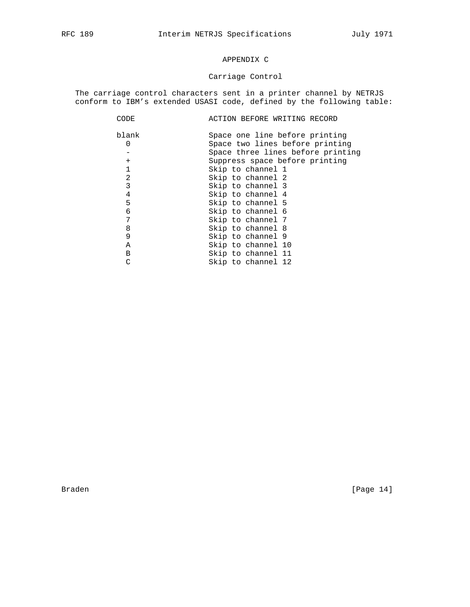# APPENDIX C

# Carriage Control

 The carriage control characters sent in a printer channel by NETRJS conform to IBM's extended USASI code, defined by the following table:

| CODE           | ACTION BEFORE WRITING RECORD      |
|----------------|-----------------------------------|
| blank          | Space one line before printing    |
| $\Omega$       | Space two lines before printing   |
|                | Space three lines before printing |
| $^{+}$         | Suppress space before printing    |
| 1              | Skip to channel 1                 |
| $\overline{2}$ | Skip to channel 2                 |
| 3              | Skip to channel 3                 |
| 4              | Skip to channel 4                 |
| 5              | Skip to channel 5                 |
| 6              | Skip to channel 6                 |
| 7              | Skip to channel 7                 |
| 8              | Skip to channel 8                 |
| 9              | Skip to channel 9                 |
| A              | Skip to channel 10                |
| В              | Skip to channel 11                |
| C              | Skip to channel 12                |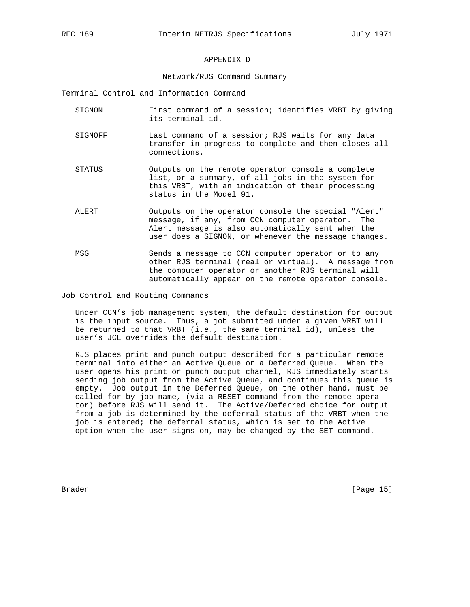# APPENDIX D

#### Network/RJS Command Summary

Terminal Control and Information Command

- SIGNON First command of a session; identifies VRBT by giving its terminal id.
- SIGNOFF Last command of a session; RJS waits for any data transfer in progress to complete and then closes all connections.
- STATUS Outputs on the remote operator console a complete list, or a summary, of all jobs in the system for this VRBT, with an indication of their processing status in the Model 91.
- ALERT Outputs on the operator console the special "Alert" message, if any, from CCN computer operator. The Alert message is also automatically sent when the user does a SIGNON, or whenever the message changes.
- MSG Sends a message to CCN computer operator or to any other RJS terminal (real or virtual). A message from the computer operator or another RJS terminal will automatically appear on the remote operator console.

Job Control and Routing Commands

 Under CCN's job management system, the default destination for output is the input source. Thus, a job submitted under a given VRBT will be returned to that VRBT (i.e., the same terminal id), unless the user's JCL overrides the default destination.

 RJS places print and punch output described for a particular remote terminal into either an Active Queue or a Deferred Queue. When the user opens his print or punch output channel, RJS immediately starts sending job output from the Active Queue, and continues this queue is empty. Job output in the Deferred Queue, on the other hand, must be called for by job name, (via a RESET command from the remote opera tor) before RJS will send it. The Active/Deferred choice for output from a job is determined by the deferral status of the VRBT when the job is entered; the deferral status, which is set to the Active option when the user signs on, may be changed by the SET command.

Braden [Page 15]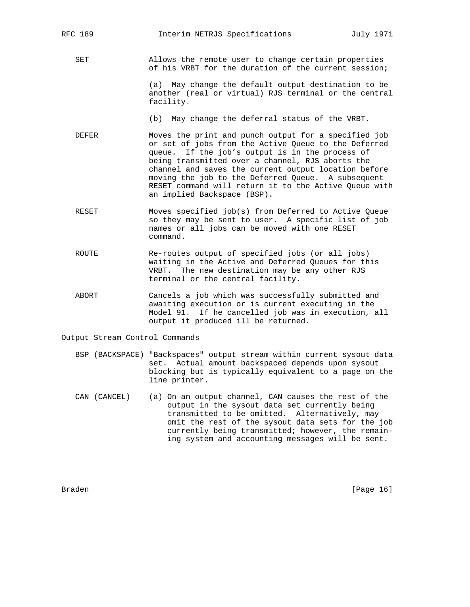SET Allows the remote user to change certain properties of his VRBT for the duration of the current session;

> (a) May change the default output destination to be another (real or virtual) RJS terminal or the central facility.

(b) May change the deferral status of the VRBT.

- DEFER Moves the print and punch output for a specified job or set of jobs from the Active Queue to the Deferred queue. If the job's output is in the process of being transmitted over a channel, RJS aborts the channel and saves the current output location before moving the job to the Deferred Queue. A subsequent RESET command will return it to the Active Queue with an implied Backspace (BSP).
- RESET Moves specified job(s) from Deferred to Active Queue so they may be sent to user. A specific list of job names or all jobs can be moved with one RESET command.
- ROUTE Re-routes output of specified jobs (or all jobs) waiting in the Active and Deferred Queues for this VRBT. The new destination may be any other RJS terminal or the central facility.
- ABORT Cancels a job which was successfully submitted and awaiting execution or is current executing in the Model 91. If he cancelled job was in execution, all output it produced ill be returned.

Output Stream Control Commands

- BSP (BACKSPACE) "Backspaces" output stream within current sysout data set. Actual amount backspaced depends upon sysout blocking but is typically equivalent to a page on the line printer.
- CAN (CANCEL) (a) On an output channel, CAN causes the rest of the output in the sysout data set currently being transmitted to be omitted. Alternatively, may omit the rest of the sysout data sets for the job currently being transmitted; however, the remain ing system and accounting messages will be sent.

Braden [Page 16]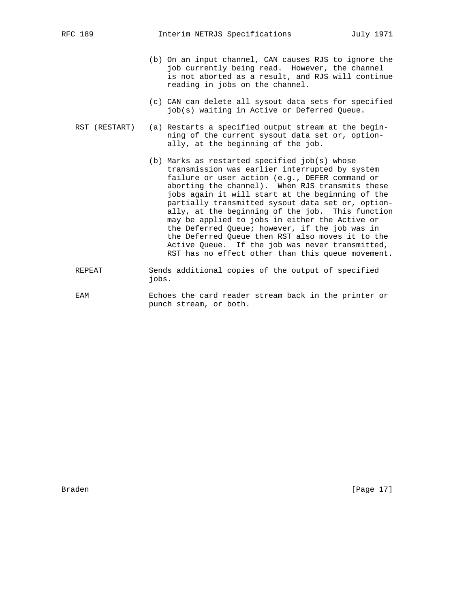- (b) On an input channel, CAN causes RJS to ignore the job currently being read. However, the channel is not aborted as a result, and RJS will continue reading in jobs on the channel.
- (c) CAN can delete all sysout data sets for specified job(s) waiting in Active or Deferred Queue.
- RST (RESTART) (a) Restarts a specified output stream at the begin ning of the current sysout data set or, option ally, at the beginning of the job.
	- (b) Marks as restarted specified job(s) whose transmission was earlier interrupted by system failure or user action (e.g., DEFER command or aborting the channel). When RJS transmits these jobs again it will start at the beginning of the partially transmitted sysout data set or, option ally, at the beginning of the job. This function may be applied to jobs in either the Active or the Deferred Queue; however, if the job was in the Deferred Queue then RST also moves it to the Active Queue. If the job was never transmitted, RST has no effect other than this queue movement.
- REPEAT Sends additional copies of the output of specified jobs.
- EAM Echoes the card reader stream back in the printer or punch stream, or both.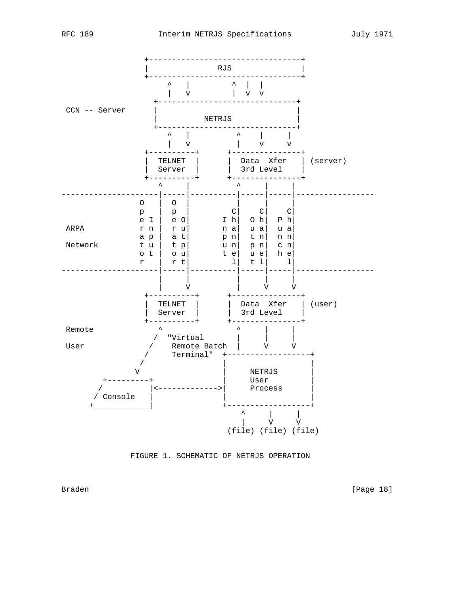

FIGURE 1. SCHEMATIC OF NETRJS OPERATION

Braden [Page 18]